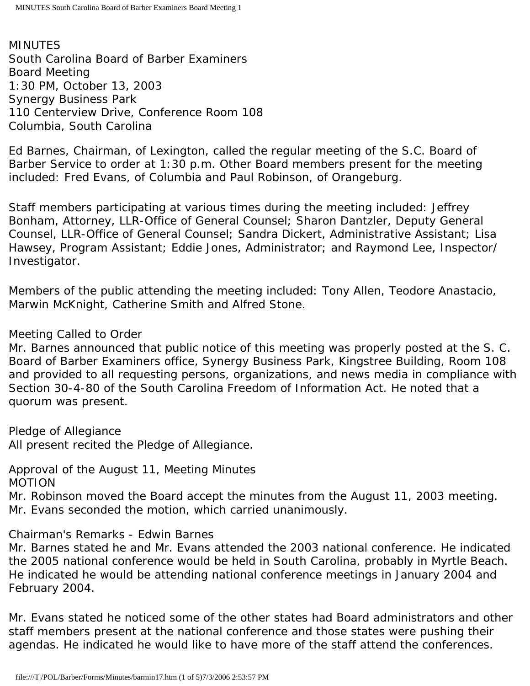MINUTES South Carolina Board of Barber Examiners Board Meeting 1:30 PM, October 13, 2003 Synergy Business Park 110 Centerview Drive, Conference Room 108 Columbia, South Carolina

Ed Barnes, Chairman, of Lexington, called the regular meeting of the S.C. Board of Barber Service to order at 1:30 p.m. Other Board members present for the meeting included: Fred Evans, of Columbia and Paul Robinson, of Orangeburg.

Staff members participating at various times during the meeting included: Jeffrey Bonham, Attorney, LLR-Office of General Counsel; Sharon Dantzler, Deputy General Counsel, LLR-Office of General Counsel; Sandra Dickert, Administrative Assistant; Lisa Hawsey, Program Assistant; Eddie Jones, Administrator; and Raymond Lee, Inspector/ Investigator.

Members of the public attending the meeting included: Tony Allen, Teodore Anastacio, Marwin McKnight, Catherine Smith and Alfred Stone.

## Meeting Called to Order

Mr. Barnes announced that public notice of this meeting was properly posted at the S. C. Board of Barber Examiners office, Synergy Business Park, Kingstree Building, Room 108 and provided to all requesting persons, organizations, and news media in compliance with Section 30-4-80 of the South Carolina Freedom of Information Act. He noted that a quorum was present.

Pledge of Allegiance All present recited the Pledge of Allegiance.

Approval of the August 11, Meeting Minutes MOTION

Mr. Robinson moved the Board accept the minutes from the August 11, 2003 meeting. Mr. Evans seconded the motion, which carried unanimously.

Chairman's Remarks - Edwin Barnes

Mr. Barnes stated he and Mr. Evans attended the 2003 national conference. He indicated the 2005 national conference would be held in South Carolina, probably in Myrtle Beach. He indicated he would be attending national conference meetings in January 2004 and February 2004.

Mr. Evans stated he noticed some of the other states had Board administrators and other staff members present at the national conference and those states were pushing their agendas. He indicated he would like to have more of the staff attend the conferences.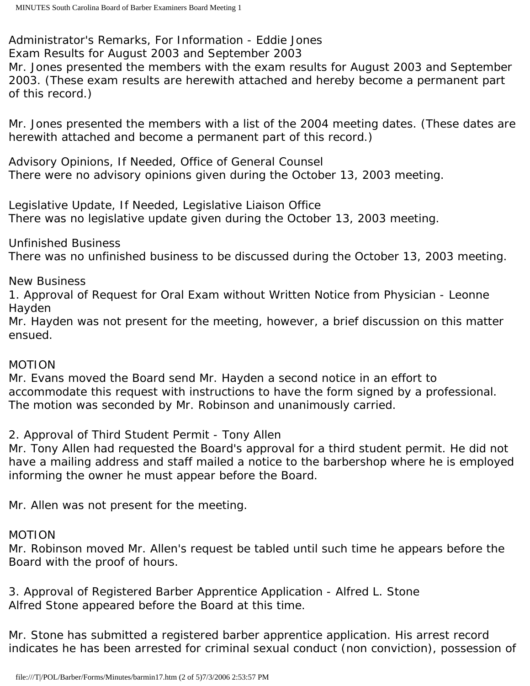Administrator's Remarks, For Information - Eddie Jones Exam Results for August 2003 and September 2003

Mr. Jones presented the members with the exam results for August 2003 and September 2003. (These exam results are herewith attached and hereby become a permanent part of this record.)

Mr. Jones presented the members with a list of the 2004 meeting dates. (These dates are herewith attached and become a permanent part of this record.)

Advisory Opinions, If Needed, Office of General Counsel There were no advisory opinions given during the October 13, 2003 meeting.

Legislative Update, If Needed, Legislative Liaison Office There was no legislative update given during the October 13, 2003 meeting.

Unfinished Business

There was no unfinished business to be discussed during the October 13, 2003 meeting.

New Business

1. Approval of Request for Oral Exam without Written Notice from Physician - Leonne Hayden

Mr. Hayden was not present for the meeting, however, a brief discussion on this matter ensued.

# MOTION

Mr. Evans moved the Board send Mr. Hayden a second notice in an effort to accommodate this request with instructions to have the form signed by a professional. The motion was seconded by Mr. Robinson and unanimously carried.

2. Approval of Third Student Permit - Tony Allen

Mr. Tony Allen had requested the Board's approval for a third student permit. He did not have a mailing address and staff mailed a notice to the barbershop where he is employed informing the owner he must appear before the Board.

Mr. Allen was not present for the meeting.

## MOTION

Mr. Robinson moved Mr. Allen's request be tabled until such time he appears before the Board with the proof of hours.

3. Approval of Registered Barber Apprentice Application - Alfred L. Stone Alfred Stone appeared before the Board at this time.

Mr. Stone has submitted a registered barber apprentice application. His arrest record indicates he has been arrested for criminal sexual conduct (non conviction), possession of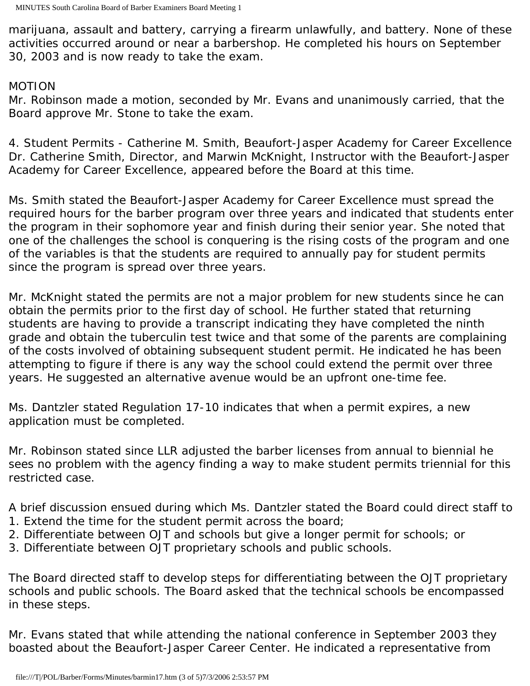marijuana, assault and battery, carrying a firearm unlawfully, and battery. None of these activities occurred around or near a barbershop. He completed his hours on September 30, 2003 and is now ready to take the exam.

### MOTION

Mr. Robinson made a motion, seconded by Mr. Evans and unanimously carried, that the Board approve Mr. Stone to take the exam.

4. Student Permits - Catherine M. Smith, Beaufort-Jasper Academy for Career Excellence Dr. Catherine Smith, Director, and Marwin McKnight, Instructor with the Beaufort-Jasper Academy for Career Excellence, appeared before the Board at this time.

Ms. Smith stated the Beaufort-Jasper Academy for Career Excellence must spread the required hours for the barber program over three years and indicated that students enter the program in their sophomore year and finish during their senior year. She noted that one of the challenges the school is conquering is the rising costs of the program and one of the variables is that the students are required to annually pay for student permits since the program is spread over three years.

Mr. McKnight stated the permits are not a major problem for new students since he can obtain the permits prior to the first day of school. He further stated that returning students are having to provide a transcript indicating they have completed the ninth grade and obtain the tuberculin test twice and that some of the parents are complaining of the costs involved of obtaining subsequent student permit. He indicated he has been attempting to figure if there is any way the school could extend the permit over three years. He suggested an alternative avenue would be an upfront one-time fee.

Ms. Dantzler stated Regulation 17-10 indicates that when a permit expires, a new application must be completed.

Mr. Robinson stated since LLR adjusted the barber licenses from annual to biennial he sees no problem with the agency finding a way to make student permits triennial for this restricted case.

A brief discussion ensued during which Ms. Dantzler stated the Board could direct staff to

- 1. Extend the time for the student permit across the board;
- 2. Differentiate between OJT and schools but give a longer permit for schools; or
- 3. Differentiate between OJT proprietary schools and public schools.

The Board directed staff to develop steps for differentiating between the OJT proprietary schools and public schools. The Board asked that the technical schools be encompassed in these steps.

Mr. Evans stated that while attending the national conference in September 2003 they boasted about the Beaufort-Jasper Career Center. He indicated a representative from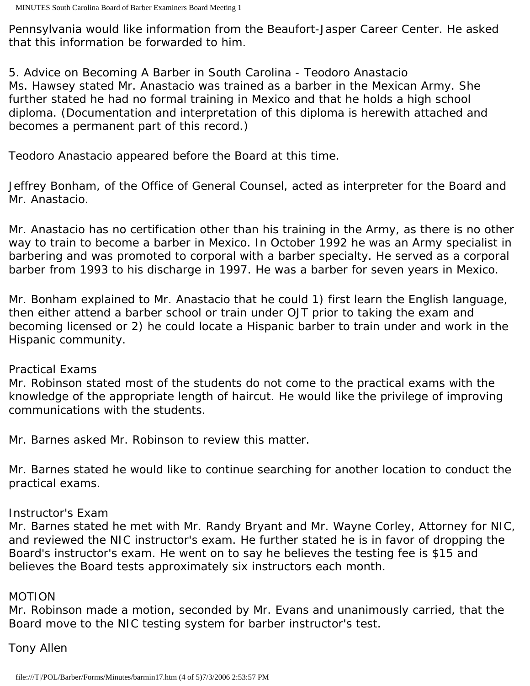Pennsylvania would like information from the Beaufort-Jasper Career Center. He asked that this information be forwarded to him.

5. Advice on Becoming A Barber in South Carolina - Teodoro Anastacio Ms. Hawsey stated Mr. Anastacio was trained as a barber in the Mexican Army. She further stated he had no formal training in Mexico and that he holds a high school diploma. (Documentation and interpretation of this diploma is herewith attached and becomes a permanent part of this record.)

Teodoro Anastacio appeared before the Board at this time.

Jeffrey Bonham, of the Office of General Counsel, acted as interpreter for the Board and Mr. Anastacio.

Mr. Anastacio has no certification other than his training in the Army, as there is no other way to train to become a barber in Mexico. In October 1992 he was an Army specialist in barbering and was promoted to corporal with a barber specialty. He served as a corporal barber from 1993 to his discharge in 1997. He was a barber for seven years in Mexico.

Mr. Bonham explained to Mr. Anastacio that he could 1) first learn the English language, then either attend a barber school or train under OJT prior to taking the exam and becoming licensed or 2) he could locate a Hispanic barber to train under and work in the Hispanic community.

### Practical Exams

Mr. Robinson stated most of the students do not come to the practical exams with the knowledge of the appropriate length of haircut. He would like the privilege of improving communications with the students.

Mr. Barnes asked Mr. Robinson to review this matter.

Mr. Barnes stated he would like to continue searching for another location to conduct the practical exams.

## Instructor's Exam

Mr. Barnes stated he met with Mr. Randy Bryant and Mr. Wayne Corley, Attorney for NIC, and reviewed the NIC instructor's exam. He further stated he is in favor of dropping the Board's instructor's exam. He went on to say he believes the testing fee is \$15 and believes the Board tests approximately six instructors each month.

## MOTION

Mr. Robinson made a motion, seconded by Mr. Evans and unanimously carried, that the Board move to the NIC testing system for barber instructor's test.

# Tony Allen